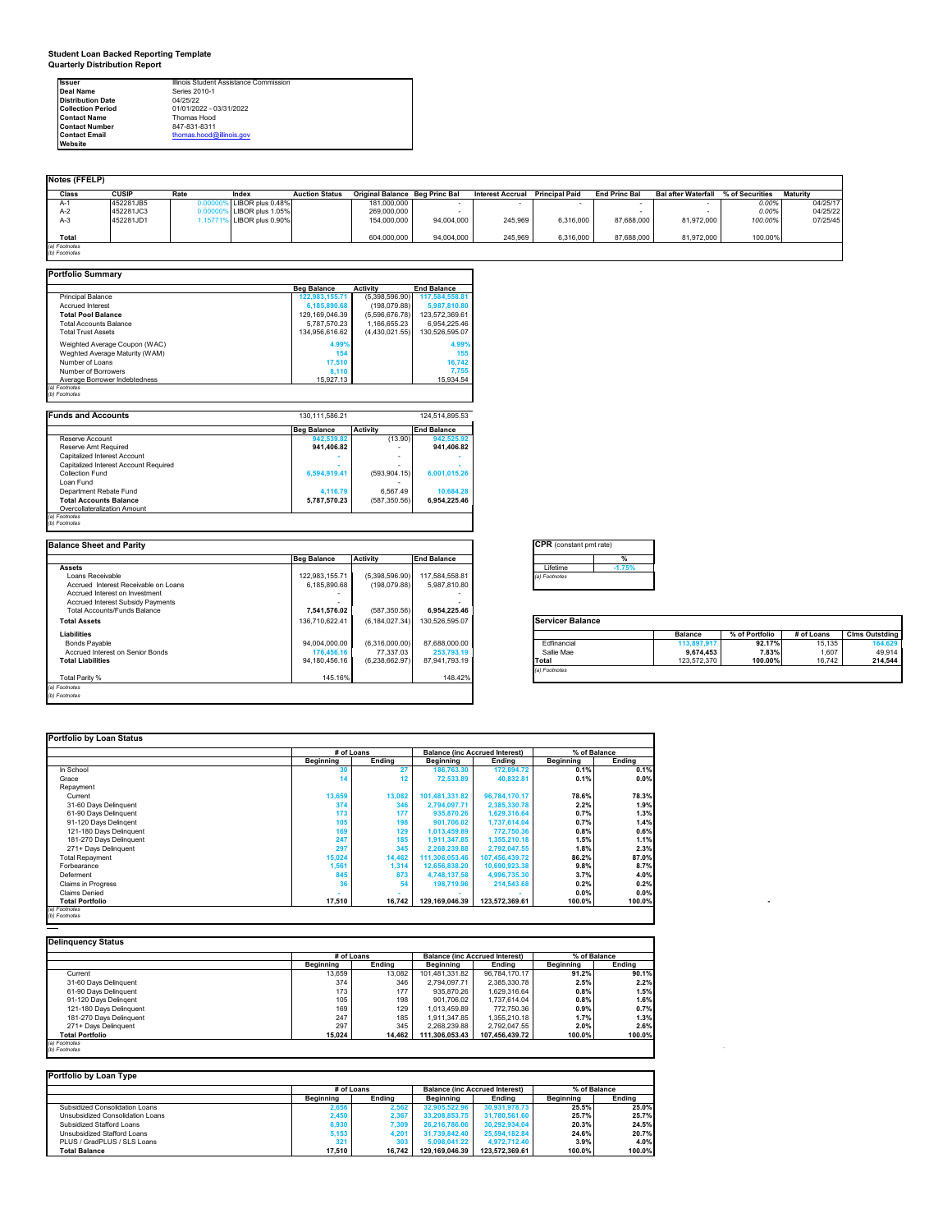**Student Loan Backed Reporting Template Quarterly Distribution Report**

| <b>Issuer</b>            | Illinois Student Assistance Commission |
|--------------------------|----------------------------------------|
| Deal Name                | Series 2010-1                          |
| <b>Distribution Date</b> | 04/25/22                               |
| <b>Collection Period</b> | 01/01/2022 - 03/31/2022                |
| <b>Contact Name</b>      | Thomas Hood                            |
| <b>Contact Number</b>    | 847-831-8311                           |
| <b>Contact Email</b>     | thomas.hood@illinois.gov               |
| Website                  |                                        |

| <b>Notes (FFELP)</b> |              |         |                    |                       |                                       |            |                         |                       |                      |                            |                 |                 |
|----------------------|--------------|---------|--------------------|-----------------------|---------------------------------------|------------|-------------------------|-----------------------|----------------------|----------------------------|-----------------|-----------------|
| Class                | <b>CUSIP</b> | Rate    | Index              | <b>Auction Status</b> | <b>Original Balance Beg Princ Bal</b> |            | <b>Interest Accrual</b> | <b>Principal Paid</b> | <b>End Princ Bal</b> | <b>Bal after Waterfall</b> | % of Securities | <b>Maturity</b> |
| A-1                  | 452281JB5    |         | LIBOR plus 0.48%   |                       | 181.000.000                           |            |                         |                       |                      |                            | 0.00%           | 04/25/17        |
| $A-2$                | 452281JC3    |         | LIBOR plus 1.05%   |                       | 269.000.000                           |            |                         |                       |                      |                            | 0.00%           | 04/25/22        |
| $A-3$                | 452281JD1    | $-157i$ | 6 LIBOR plus 0.90% |                       | 154.000.000                           | 94.004.000 | 245,969                 | 6.316.000             | 87,688,000           | 81,972,000                 | 100.00%         | 07/25/45        |
|                      |              |         |                    |                       |                                       |            |                         |                       |                      |                            |                 |                 |
| Total                |              |         |                    |                       | 604.000.000                           | 94,004,000 | 245,969                 | 6,316,000             | 87,688,000           | 81,972,000                 | 100.00%         |                 |
| (a) Footnotes        |              |         |                    |                       |                                       |            |                         |                       |                      |                            |                 |                 |
| (b) Footnotes        |              |         |                    |                       |                                       |            |                         |                       |                      |                            |                 |                 |

| <b>Portfolio Summary</b>                                     |                             |                             |                             |
|--------------------------------------------------------------|-----------------------------|-----------------------------|-----------------------------|
|                                                              | <b>Beg Balance</b>          | <b>Activity</b>             | <b>End Balance</b>          |
| <b>Principal Balance</b>                                     | 122,983,155.71              | (5,398,596.90)              | 117,584,558.81              |
| <b>Accrued Interest</b>                                      | 6,185,890.68                | (198,079.88)                | 5,987,810.80                |
| <b>Total Pool Balance</b>                                    | 129,169,046.39              | (5,596,676.78)              | 123,572,369.61              |
| <b>Total Accounts Balance</b>                                | 5.787.570.23                | 1.166.655.23                | 6,954,225.46                |
| <b>Total Trust Assets</b>                                    | 134,956,616.62              | (4,430,021.55)              | 130,526,595.07              |
| Weighted Average Coupon (WAC)                                | 4.99%                       |                             | 4.99%                       |
| Weghted Average Maturity (WAM)                               | 154                         |                             | 155                         |
| Number of Loans                                              | 17,510                      |                             | 16,742                      |
| Number of Borrowers                                          | 8,110                       |                             | 7,755                       |
| Average Borrower Indebtedness                                |                             |                             |                             |
| (a) Footnotes                                                | 15,927.13                   |                             | 15,934.54                   |
| (b) Footnotes                                                |                             |                             |                             |
|                                                              |                             |                             |                             |
| <b>Funds and Accounts</b>                                    | 130, 111, 586.21            |                             | 124.514.895.53              |
|                                                              | <b>Beg Balance</b>          | <b>Activity</b>             | <b>End Balance</b>          |
| Reserve Account                                              | 942.539.82                  | (13.90)                     | 942.525.92                  |
| Reserve Amt Required                                         | 941,406.82                  | $\mathbf{r}$                | 941,406.82                  |
| Capitalized Interest Account                                 |                             | ٠                           |                             |
| Capitalized Interest Account Required                        |                             | ٠                           |                             |
| Collection Fund                                              | 6,594,919.41                |                             |                             |
|                                                              |                             | (593, 904.15)               | 6,001,015.26                |
| Loan Fund                                                    |                             |                             |                             |
| Department Rebate Fund                                       | 4,116.79                    | 6,567.49                    | 10,684.28                   |
| <b>Total Accounts Balance</b>                                | 5,787,570.23                | (587, 350.56)               | 6,954,225.46                |
| Overcollateralization Amount                                 |                             |                             |                             |
|                                                              |                             |                             |                             |
| (a) Footnotes                                                |                             |                             |                             |
| (b) Footnotes                                                |                             |                             |                             |
|                                                              |                             |                             |                             |
| <b>Balance Sheet and Parity</b>                              |                             |                             |                             |
|                                                              |                             |                             | <b>End Balance</b>          |
|                                                              | <b>Beg Balance</b>          | <b>Activity</b>             |                             |
| <b>Assets</b>                                                |                             |                             |                             |
| Loans Receivable                                             | 122.983.155.71              | (5,398,596.90)              | 117,584,558.81              |
| Accrued Interest Receivable on Loans                         | 6,185,890.68                | (198,079.88)                | 5,987,810.80                |
| Accrued Interest on Investment                               | ۰.                          |                             |                             |
| Accrued Interest Subsidy Payments                            |                             |                             |                             |
| <b>Total Accounts/Funds Balance</b>                          | 7,541,576.02                | (587, 350.56)               | 6,954,225.46                |
| <b>Total Assets</b>                                          | 136.710.622.41              | (6, 184, 027.34)            | 130,526,595.07              |
| <b>Liabilities</b>                                           |                             |                             |                             |
|                                                              |                             |                             |                             |
| <b>Bonds Pavable</b>                                         | 94,004,000.00               | (6,316,000.00)              | 87,688,000.00               |
| Accrued Interest on Senior Bonds<br><b>Total Liabilities</b> | 176,456.16<br>94,180,456.16 | 77,337.03<br>(6,238,662.97) | 253,793.19<br>87,941,793.19 |

Total Parity % 148.42% 168.42% 148.42% 148.42% 148.42% 148.42% 148.42% 148.42%

| <b>CPR</b> (constant pmt rate) |          |  |  |  |  |  |
|--------------------------------|----------|--|--|--|--|--|
|                                | %        |  |  |  |  |  |
| Lifetime                       | $-1.75%$ |  |  |  |  |  |
| ) Footnotes                    |          |  |  |  |  |  |

| <b>Servicer Balance</b> |  |  |
|-------------------------|--|--|
|                         |  |  |

|               | <b>Balance</b> | % of Portfolio | # of Loans | <b>Clms Outstding</b> |
|---------------|----------------|----------------|------------|-----------------------|
| Fdfinancial   | 113,897,917    | 92.17%         | 15.135     | 164.629               |
| Sallie Mae    | 9.674.453      | 7.83%          | 1.607      | 49.914                |
| Total         | 123,572,370    | 100.00%        | 16.742     | 214.544               |
| (a) Footnotes |                |                |            |                       |

٦

٦

### **Portfolio by Loan Status**

*(a) Footnotes (b) Footnotes*

|                                | # of Loans       |               |                  | <b>Balance (inc Accrued Interest)</b> | % of Balance |        |
|--------------------------------|------------------|---------------|------------------|---------------------------------------|--------------|--------|
|                                | <b>Beginning</b> | <b>Ending</b> | <b>Beginning</b> | Ending                                | Beginning    | Ending |
| In School                      |                  |               | 186,763.30       | 172,894.72                            | 0.1%         | 0.1%   |
| Grace                          | 14               |               | 72.533.89        | 40,832.81                             | 0.1%         | 0.0%   |
| Repayment                      |                  |               |                  |                                       |              |        |
| Current                        | 13,659           | 13,082        | 101,481,331.82   | 96,784,170.17                         | 78.6%        | 78.3%  |
| 31-60 Days Delinquent          | 374              | 346           | 2.794.097.71     | 2,385,330.78                          | 2.2%         | 1.9%   |
| 61-90 Days Delinquent          | 173              | 177           | 935,870.26       | 1,629,316.64                          | 0.7%         | 1.3%   |
| 91-120 Days Delingent          | 105              | 198           | 901.706.02       | 1,737,614.04                          | 0.7%         | 1.4%   |
| 121-180 Days Delinquent        | 169              | 129           | 1.013.459.89     | 772.750.36                            | 0.8%         | 0.6%   |
| 181-270 Days Delinquent        | 247              | 185           | 1,911,347.85     | 1,355,210.18                          | 1.5%         | 1.1%   |
| 271+ Davs Delinguent           | 297              | 345           | 2,268,239.88     | 2.792.047.55                          | 1.8%         | 2.3%   |
| <b>Total Repayment</b>         | 15,024           | 14,462        | 111,306,053.46   | 107,456,439.72                        | 86.2%        | 87.0%  |
| Forbearance                    | 1,561            | 1,314         | 12,656,838.20    | 10,690,923.38                         | 9.8%         | 8.7%   |
| Deferment                      | 845              | 873           | 4,748,137.58     | 4,996,735.30                          | 3.7%         | 4.0%   |
| <b>Claims in Progress</b>      | 36               | 54            | 198.719.96       | 214,543.68                            | 0.2%         | 0.2%   |
| <b>Claims Denied</b>           |                  |               |                  |                                       | 0.0%         | 0.0%   |
| <b>Total Portfolio</b>         | 17.510           | 16.742        | 129.169.046.39   | 123.572.369.61                        | 100.0%       | 100.0% |
| (a) Footnotes<br>(b) Footnotes |                  |               |                  |                                       |              |        |

|                         | # of Loans |        | <b>Balance (inc Accrued Interest)</b> |                | % of Balance |        |
|-------------------------|------------|--------|---------------------------------------|----------------|--------------|--------|
|                         | Beainnina  | Endina | Beainning                             | Endina         | Beginning    | Endina |
| Current                 | 13.659     | 13.082 | 101.481.331.82                        | 96.784.170.17  | 91.2%        | 90.1%  |
| 31-60 Days Delinquent   | 374        | 346    | 2.794.097.71                          | 2.385.330.78   | 2.5%         | 2.2%   |
| 61-90 Days Delinquent   | 173        | 177    | 935.870.26                            | 1.629.316.64   | 0.8%         | 1.5%   |
| 91-120 Days Delingent   | 105        | 198    | 901.706.02                            | 1.737.614.04   | 0.8%         | 1.6%   |
| 121-180 Days Delinquent | 169        | 129    | 1.013.459.89                          | 772,750.36     | 0.9%         | 0.7%   |
| 181-270 Days Delinquent | 247        | 185    | 1.911.347.85                          | 1.355.210.18   | 1.7%         | 1.3%   |
| 271+ Days Delinquent    | 297        | 345    | 2.268.239.88                          | 2.792.047.55   | 2.0%         | 2.6%   |
| <b>Total Portfolio</b>  | 15.024     | 14.462 | 111,306,053.43                        | 107.456.439.72 | 100.0%       | 100.0% |

| Portfolio by Loan Type           |                  |                   |                  |                                       |                  |        |  |  |  |
|----------------------------------|------------------|-------------------|------------------|---------------------------------------|------------------|--------|--|--|--|
|                                  |                  | # of Loans        |                  | <b>Balance (inc Accrued Interest)</b> | % of Balance     |        |  |  |  |
|                                  | <b>Beainning</b> | Endina            | <b>Beginning</b> | Endina                                | <b>Beginning</b> | Endina |  |  |  |
| Subsidized Consolidation Loans   | 2.656            | 2.562             | 32.905.522.96    | 30.931.978.73                         | 25.5%            | 25.0%  |  |  |  |
| Unsubsidized Consolidation Loans | 2.450            | 2.367             | 33.208.853.75    | 31.780.561.60                         | 25.7%            | 25.7%  |  |  |  |
| Subsidized Stafford Loans        | 6.930            | 7.309             | 26.216.786.06    | 30.292.934.04                         | 20.3%            | 24.5%  |  |  |  |
| Unsubsidized Stafford Loans      | 5.153            | 4.20 <sup>°</sup> | 31.739.842.40    | 25.594.182.84                         | 24.6%            | 20.7%  |  |  |  |
| PLUS / GradPLUS / SLS Loans      | 321              | 303               | 5.098.041.22     | 4.972.712.40                          | 3.9%             | 4.0%   |  |  |  |
| <b>Total Balance</b>             | 17.510           | 16.742            | 129.169.046.39   | 123.572.369.61                        | 100.0%           | 100.0% |  |  |  |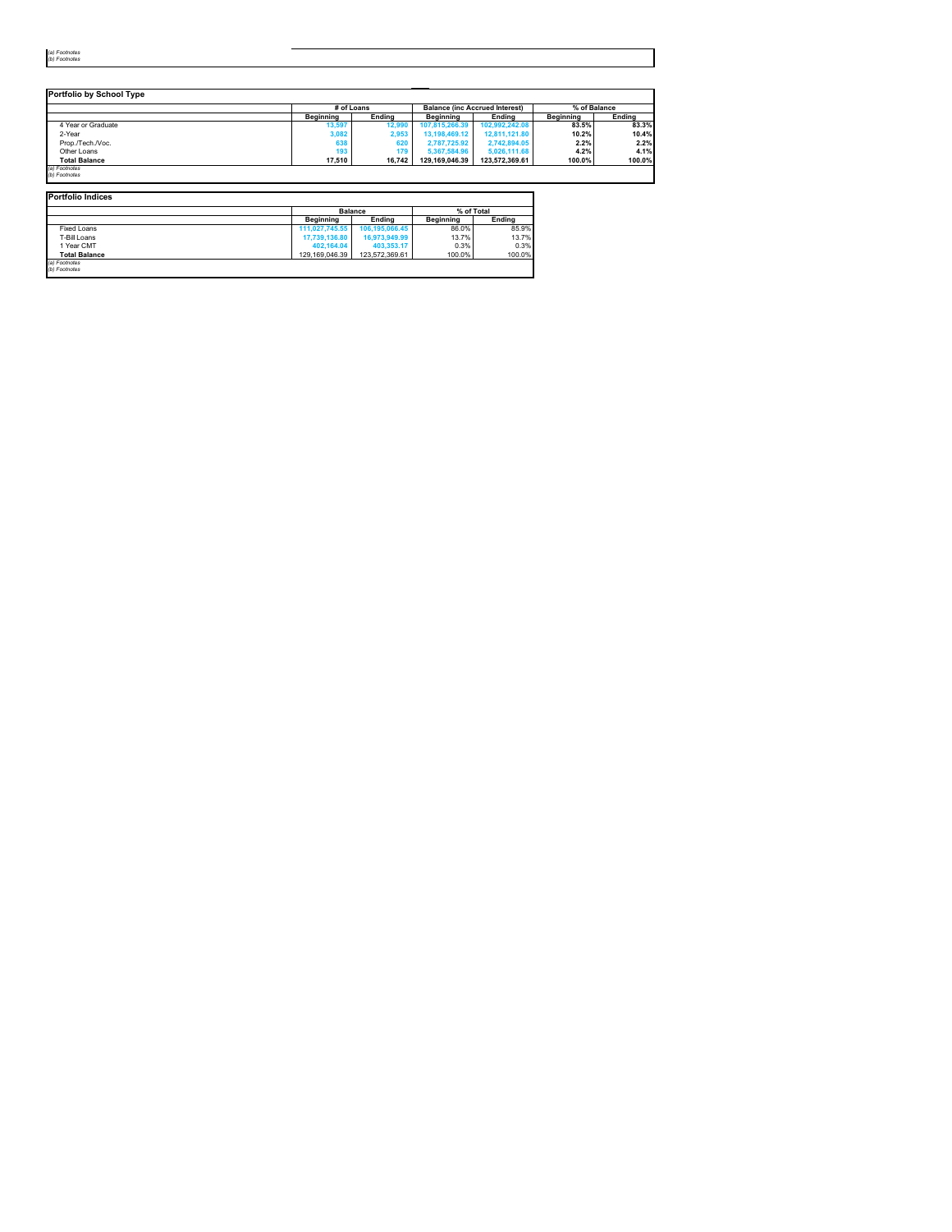| - 1       |  |
|-----------|--|
| r.<br>- 1 |  |

L.

|                      | # of Loans |        |                | <b>Balance (inc Accrued Interest)</b> | % of Balance |               |
|----------------------|------------|--------|----------------|---------------------------------------|--------------|---------------|
|                      | Beainnina  | Endina | Beainnina      | Endina                                | Beainnina    | <b>Ending</b> |
| 4 Year or Graduate   | 13,597     | 12.990 | 107.815.266.39 | 102.992.242.08                        | 83.5%        | 83.3%         |
| 2-Year               | 3,082      | 2,953  | 13.198.469.12  | 12.811.121.80                         | 10.2%        | 10.4%         |
| Prop./Tech./Voc.     | 638        | 620    | 2.787.725.92   | 2,742,894.05                          | 2.2%         | 2.2%          |
| Other Loans          | 193        | 179    | 5,367,584,96   | 5.026.111.68                          | 4.2%         | 4.1%          |
| <b>Total Balance</b> | 17.510     | 16.742 | 129.169.046.39 | 123.572.369.61                        | 100.0%       | 100.0%        |

**Portfolio Indices Beginning Ending Beginning Ending Balance % of Total** Fixed Loans **111,027,745.55 106,195,066.45** 86.0% 85.9% T-Bill Loans **17,739,136.80 16,973,949.99** 13.7% 13.7% 1 Year CMT **402,164.04 403,353.17** 0.3% 0.3% **Total Balance** 129,169,046.39 123,572,369.61 100.0% 100.0% *(a) Footnotes (b) Footnotes*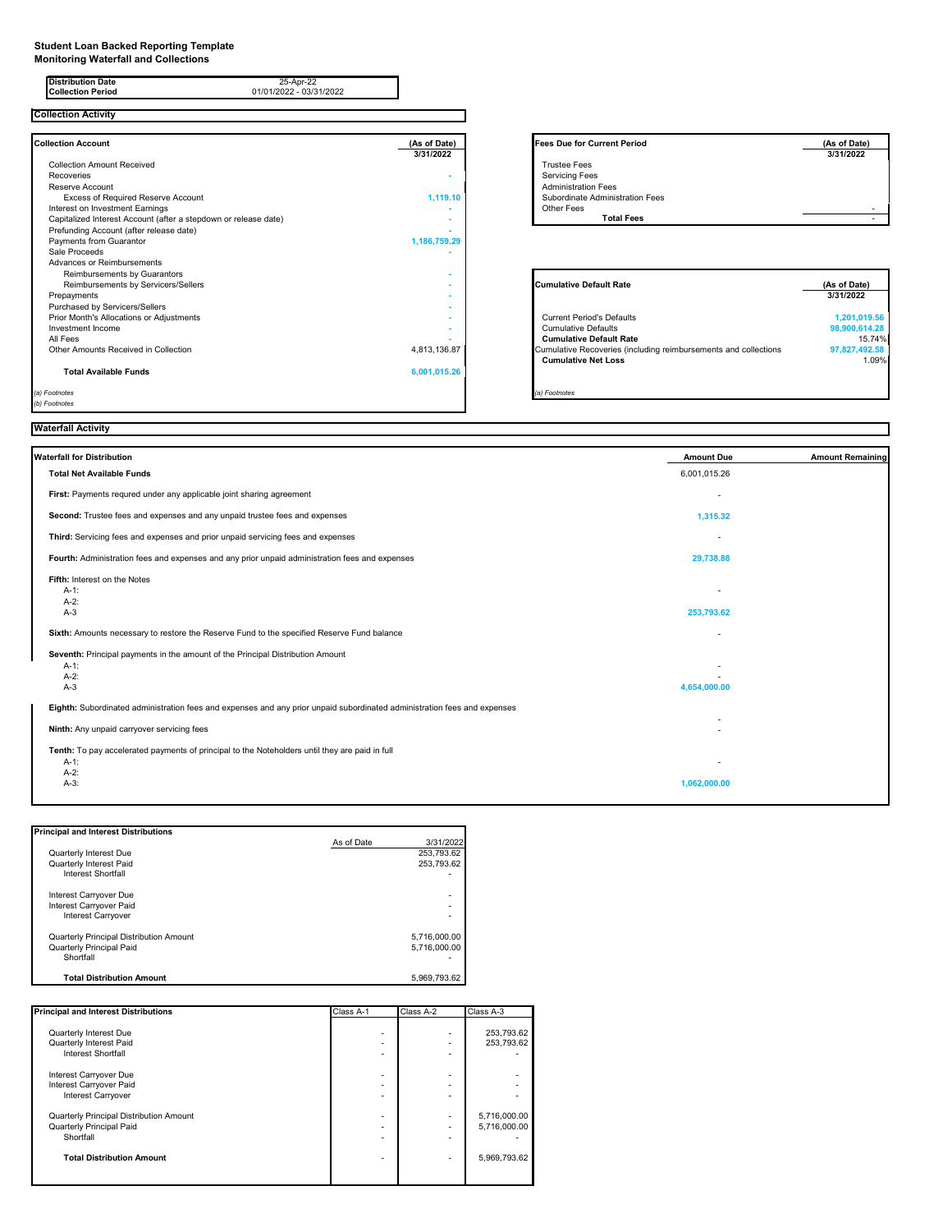#### **Student Loan Backed Reporting Template**

**Monitoring Waterfall and Collections**

| <b>Distribution Date</b><br>25-Apr-22<br><b>Collection Period</b><br>01/01/2022 - 03/31/2022                                                                                                                                                                                                          |                              |                                                                                                                                                                                                   |                                                                   |
|-------------------------------------------------------------------------------------------------------------------------------------------------------------------------------------------------------------------------------------------------------------------------------------------------------|------------------------------|---------------------------------------------------------------------------------------------------------------------------------------------------------------------------------------------------|-------------------------------------------------------------------|
| <b>Collection Activity</b>                                                                                                                                                                                                                                                                            |                              |                                                                                                                                                                                                   |                                                                   |
| <b>Collection Account</b>                                                                                                                                                                                                                                                                             | (As of Date)<br>3/31/2022    | <b>Fees Due for Current Period</b>                                                                                                                                                                | (As of Date)<br>3/31/2022                                         |
| <b>Collection Amount Received</b><br>Recoveries<br>Reserve Account<br>Excess of Required Reserve Account<br>Interest on Investment Earnings<br>Capitalized Interest Account (after a stepdown or release date)<br>Prefunding Account (after release date)<br>Payments from Guarantor<br>Sale Proceeds | 1,119.10<br>1,186,759.29     | <b>Trustee Fees</b><br><b>Servicing Fees</b><br><b>Administration Fees</b><br>Subordinate Administration Fees<br>Other Fees<br><b>Total Fees</b>                                                  |                                                                   |
| Advances or Reimbursements<br>Reimbursements by Guarantors<br>Reimbursements by Servicers/Sellers<br>Prepayments                                                                                                                                                                                      |                              | <b>Cumulative Default Rate</b>                                                                                                                                                                    | (As of Date)<br>3/31/2022                                         |
| Purchased by Servicers/Sellers<br>Prior Month's Allocations or Adjustments<br>Investment Income<br>All Fees<br>Other Amounts Received in Collection<br><b>Total Available Funds</b>                                                                                                                   | 4,813,136.87<br>6,001,015.26 | <b>Current Period's Defaults</b><br><b>Cumulative Defaults</b><br><b>Cumulative Default Rate</b><br>Cumulative Recoveries (including reimbursements and collections<br><b>Cumulative Net Loss</b> | 1,201,019.56<br>98,900,614.28<br>15.74%<br>97,827,492.58<br>1.09% |
| (a) Footnotes<br>(b) Footnotes                                                                                                                                                                                                                                                                        |                              | (a) Footnotes                                                                                                                                                                                     |                                                                   |

| As of Date)<br>3/31/2022 | <b>Fees Due for Current Period</b> | (As of Date)<br>3/31/2022 |
|--------------------------|------------------------------------|---------------------------|
|                          | <b>Trustee Fees</b>                |                           |
|                          | <b>Servicing Fees</b>              |                           |
|                          | <b>Administration Fees</b>         |                           |
| 1.119.10                 | Subordinate Administration Fees    |                           |
| ۰                        | <b>Other Fees</b>                  |                           |
|                          | <b>Total Fees</b>                  |                           |
|                          |                                    |                           |
| 1,186,759.29             |                                    |                           |

| <b>Cumulative Default Rate</b>                                  | (As of Date)  |  |
|-----------------------------------------------------------------|---------------|--|
|                                                                 | 3/31/2022     |  |
| <b>Current Period's Defaults</b>                                | 1,201,019.56  |  |
| <b>Cumulative Defaults</b>                                      | 98,900,614.28 |  |
| <b>Cumulative Default Rate</b>                                  | 15.74%        |  |
| Cumulative Recoveries (including reimbursements and collections | 97,827,492.58 |  |
| <b>Cumulative Net Loss</b>                                      | 1.09%         |  |
|                                                                 |               |  |
| Footnotes                                                       |               |  |

# **Waterfall Activity**

| Waterfall for Distribution                                                                                                     | <b>Amount Due</b> | <b>Amount Remaining</b> |
|--------------------------------------------------------------------------------------------------------------------------------|-------------------|-------------------------|
| <b>Total Net Available Funds</b>                                                                                               | 6,001,015.26      |                         |
| First: Payments requred under any applicable joint sharing agreement                                                           |                   |                         |
| Second: Trustee fees and expenses and any unpaid trustee fees and expenses                                                     | 1,315.32          |                         |
| Third: Servicing fees and expenses and prior unpaid servicing fees and expenses                                                |                   |                         |
| Fourth: Administration fees and expenses and any prior unpaid administration fees and expenses                                 | 29,738.88         |                         |
| Fifth: Interest on the Notes<br>$A-1$ :<br>$A-2:$<br>$A-3$                                                                     | 253,793.62        |                         |
| Sixth: Amounts necessary to restore the Reserve Fund to the specified Reserve Fund balance                                     |                   |                         |
| Seventh: Principal payments in the amount of the Principal Distribution Amount<br>$A-1$ :<br>$A-2:$<br>$A-3$                   | 4,654,000.00      |                         |
| Eighth: Subordinated administration fees and expenses and any prior unpaid subordinated administration fees and expenses       |                   |                         |
| Ninth: Any unpaid carryover servicing fees                                                                                     |                   |                         |
| Tenth: To pay accelerated payments of principal to the Noteholders until they are paid in full<br>$A-1$ :<br>$A-2:$<br>$A-3$ : | 1,062,000.00      |                         |

| <b>Principal and Interest Distributions</b> |            |                          |
|---------------------------------------------|------------|--------------------------|
|                                             | As of Date | 3/31/2022                |
| Quarterly Interest Due                      |            | 253.793.62               |
| Quarterly Interest Paid                     |            | 253.793.62               |
| <b>Interest Shortfall</b>                   |            | $\overline{\phantom{0}}$ |
| Interest Carryover Due                      |            | ٠                        |
| Interest Carryover Paid                     |            | -                        |
| <b>Interest Carryover</b>                   |            | $\overline{\phantom{0}}$ |
| Quarterly Principal Distribution Amount     |            | 5,716,000.00             |
| Quarterly Principal Paid                    |            | 5.716.000.00             |
| Shortfall                                   |            |                          |
| <b>Total Distribution Amount</b>            |            | 5.969.793.62             |

| <b>Principal and Interest Distributions</b> | Class A-1 | Class A-2                | Class A-3    |
|---------------------------------------------|-----------|--------------------------|--------------|
|                                             |           |                          |              |
| Quarterly Interest Due                      |           |                          | 253,793.62   |
| Quarterly Interest Paid                     |           | $\overline{\phantom{0}}$ | 253,793.62   |
| <b>Interest Shortfall</b>                   |           | $\overline{\phantom{0}}$ |              |
| Interest Carryover Due                      |           | ٠                        |              |
| Interest Carryover Paid                     |           | $\overline{\phantom{0}}$ |              |
| <b>Interest Carryover</b>                   |           | ۰                        |              |
| Quarterly Principal Distribution Amount     |           | ٠                        | 5,716,000.00 |
| Quarterly Principal Paid                    |           | $\overline{\phantom{0}}$ | 5,716,000.00 |
| Shortfall                                   |           | $\overline{\phantom{0}}$ |              |
| <b>Total Distribution Amount</b>            |           | ۰                        | 5,969,793.62 |
|                                             |           |                          |              |